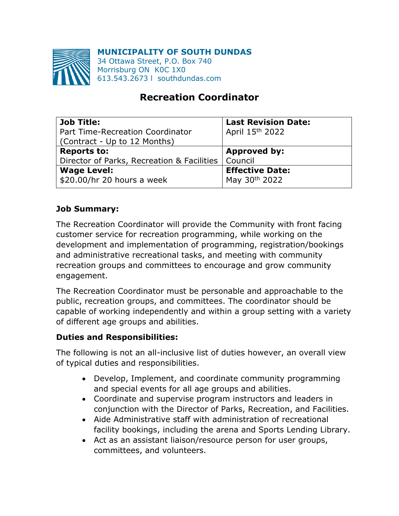**MUNICIPALITY OF SOUTH DUNDAS**



34 Ottawa Street, P.O. Box 740 Morrisburg ON K0C 1X0 613.543.2673 l southdundas.com

# **Recreation Coordinator**

| <b>Job Title:</b>                                    | <b>Last Revision Date:</b> |
|------------------------------------------------------|----------------------------|
| Part Time-Recreation Coordinator                     | April 15th 2022            |
| (Contract - Up to 12 Months)                         |                            |
| <b>Reports to:</b>                                   | <b>Approved by:</b>        |
| Director of Parks, Recreation & Facilities   Council |                            |
| <b>Wage Level:</b>                                   | <b>Effective Date:</b>     |
| \$20.00/hr 20 hours a week                           | May 30th 2022              |

## **Job Summary:**

The Recreation Coordinator will provide the Community with front facing customer service for recreation programming, while working on the development and implementation of programming, registration/bookings and administrative recreational tasks, and meeting with community recreation groups and committees to encourage and grow community engagement.

The Recreation Coordinator must be personable and approachable to the public, recreation groups, and committees. The coordinator should be capable of working independently and within a group setting with a variety of different age groups and abilities.

#### **Duties and Responsibilities:**

The following is not an all-inclusive list of duties however, an overall view of typical duties and responsibilities.

- Develop, Implement, and coordinate community programming and special events for all age groups and abilities.
- Coordinate and supervise program instructors and leaders in conjunction with the Director of Parks, Recreation, and Facilities.
- Aide Administrative staff with administration of recreational facility bookings, including the arena and Sports Lending Library.
- Act as an assistant liaison/resource person for user groups, committees, and volunteers.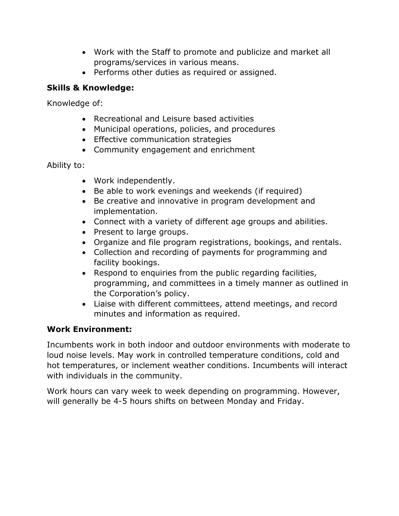- Work with the Staff to promote and publicize and market all programs/services in various means.
- Performs other duties as required or assigned.

### **Skills & Knowledge:**

Knowledge of:

- Recreational and Leisure based activities
- Municipal operations, policies, and procedures
- Effective communication strategies
- Community engagement and enrichment

Ability to:

- Work independently.
- Be able to work evenings and weekends (if required)
- Be creative and innovative in program development and implementation.
- Connect with a variety of different age groups and abilities.
- Present to large groups.
- Organize and file program registrations, bookings, and rentals.
- Collection and recording of payments for programming and facility bookings.
- Respond to enquiries from the public regarding facilities, programming, and committees in a timely manner as outlined in the Corporation's policy.
- Liaise with different committees, attend meetings, and record minutes and information as required.

## **Work Environment:**

Incumbents work in both indoor and outdoor environments with moderate to loud noise levels. May work in controlled temperature conditions, cold and hot temperatures, or inclement weather conditions. Incumbents will interact with individuals in the community.

Work hours can vary week to week depending on programming. However, will generally be 4-5 hours shifts on between Monday and Friday.